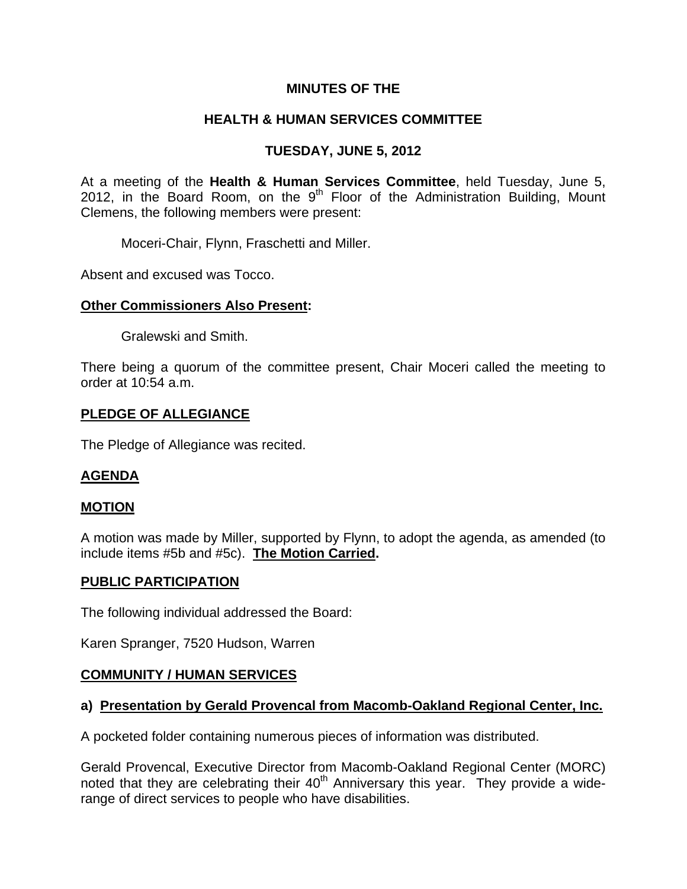## **MINUTES OF THE**

# **HEALTH & HUMAN SERVICES COMMITTEE**

# **TUESDAY, JUNE 5, 2012**

At a meeting of the **Health & Human Services Committee**, held Tuesday, June 5, 2012, in the Board Room, on the  $9<sup>th</sup>$  Floor of the Administration Building, Mount Clemens, the following members were present:

Moceri-Chair, Flynn, Fraschetti and Miller.

Absent and excused was Tocco.

## **Other Commissioners Also Present:**

Gralewski and Smith.

There being a quorum of the committee present, Chair Moceri called the meeting to order at 10:54 a.m.

### **PLEDGE OF ALLEGIANCE**

The Pledge of Allegiance was recited.

#### **AGENDA**

#### **MOTION**

A motion was made by Miller, supported by Flynn, to adopt the agenda, as amended (to include items #5b and #5c). **The Motion Carried.** 

## **PUBLIC PARTICIPATION**

The following individual addressed the Board:

Karen Spranger, 7520 Hudson, Warren

## **COMMUNITY / HUMAN SERVICES**

## **a) Presentation by Gerald Provencal from Macomb-Oakland Regional Center, Inc.**

A pocketed folder containing numerous pieces of information was distributed.

Gerald Provencal, Executive Director from Macomb-Oakland Regional Center (MORC) noted that they are celebrating their 40<sup>th</sup> Anniversary this year. They provide a widerange of direct services to people who have disabilities.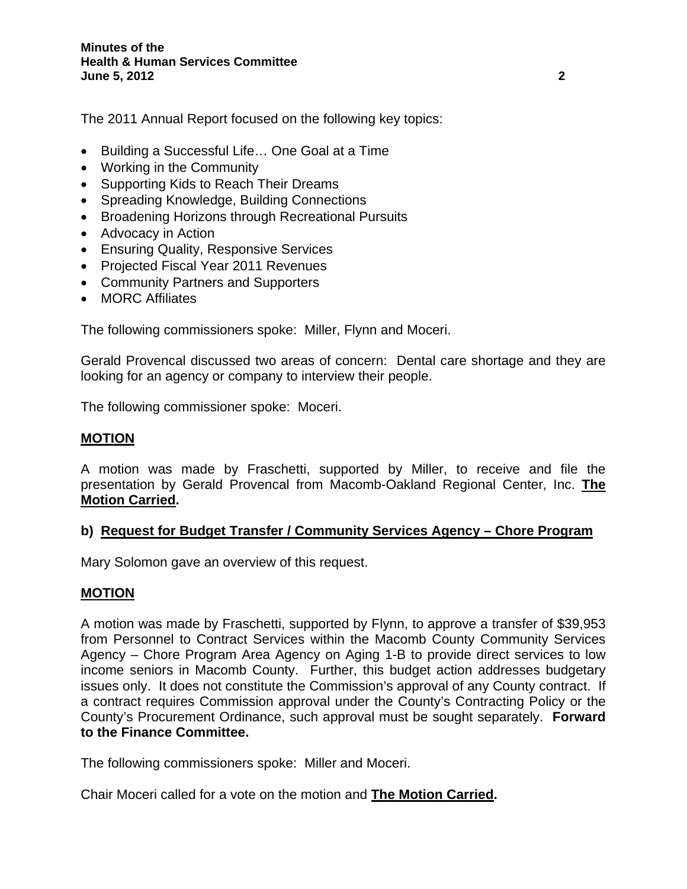The 2011 Annual Report focused on the following key topics:

- Building a Successful Life… One Goal at a Time
- Working in the Community
- Supporting Kids to Reach Their Dreams
- Spreading Knowledge, Building Connections
- Broadening Horizons through Recreational Pursuits
- Advocacy in Action
- Ensuring Quality, Responsive Services
- Projected Fiscal Year 2011 Revenues
- Community Partners and Supporters
- MORC Affiliates

The following commissioners spoke: Miller, Flynn and Moceri.

Gerald Provencal discussed two areas of concern: Dental care shortage and they are looking for an agency or company to interview their people.

The following commissioner spoke: Moceri.

### **MOTION**

A motion was made by Fraschetti, supported by Miller, to receive and file the presentation by Gerald Provencal from Macomb-Oakland Regional Center, Inc. **The Motion Carried.** 

## **b) Request for Budget Transfer / Community Services Agency – Chore Program**

Mary Solomon gave an overview of this request.

## **MOTION**

A motion was made by Fraschetti, supported by Flynn, to approve a transfer of \$39,953 from Personnel to Contract Services within the Macomb County Community Services Agency – Chore Program Area Agency on Aging 1-B to provide direct services to low income seniors in Macomb County. Further, this budget action addresses budgetary issues only. It does not constitute the Commission's approval of any County contract. If a contract requires Commission approval under the County's Contracting Policy or the County's Procurement Ordinance, such approval must be sought separately. **Forward to the Finance Committee.** 

The following commissioners spoke: Miller and Moceri.

Chair Moceri called for a vote on the motion and **The Motion Carried.**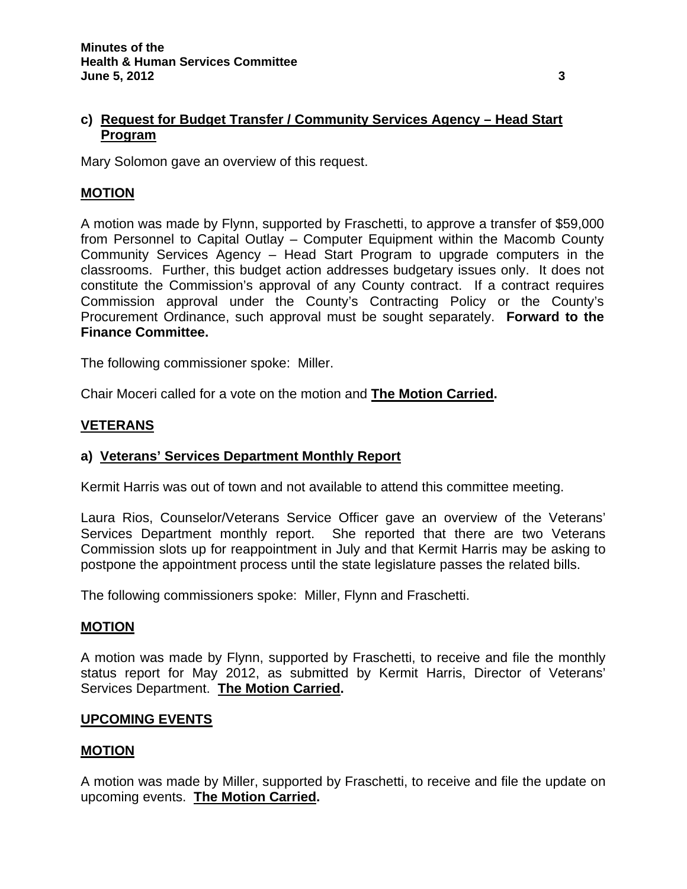## **c) Request for Budget Transfer / Community Services Agency – Head Start Program**

Mary Solomon gave an overview of this request.

### **MOTION**

A motion was made by Flynn, supported by Fraschetti, to approve a transfer of \$59,000 from Personnel to Capital Outlay – Computer Equipment within the Macomb County Community Services Agency – Head Start Program to upgrade computers in the classrooms. Further, this budget action addresses budgetary issues only. It does not constitute the Commission's approval of any County contract. If a contract requires Commission approval under the County's Contracting Policy or the County's Procurement Ordinance, such approval must be sought separately. **Forward to the Finance Committee.** 

The following commissioner spoke: Miller.

Chair Moceri called for a vote on the motion and **The Motion Carried.** 

## **VETERANS**

#### **a) Veterans' Services Department Monthly Report**

Kermit Harris was out of town and not available to attend this committee meeting.

Laura Rios, Counselor/Veterans Service Officer gave an overview of the Veterans' Services Department monthly report. She reported that there are two Veterans Commission slots up for reappointment in July and that Kermit Harris may be asking to postpone the appointment process until the state legislature passes the related bills.

The following commissioners spoke: Miller, Flynn and Fraschetti.

#### **MOTION**

A motion was made by Flynn, supported by Fraschetti, to receive and file the monthly status report for May 2012, as submitted by Kermit Harris, Director of Veterans' Services Department. **The Motion Carried.** 

#### **UPCOMING EVENTS**

#### **MOTION**

A motion was made by Miller, supported by Fraschetti, to receive and file the update on upcoming events. **The Motion Carried.**